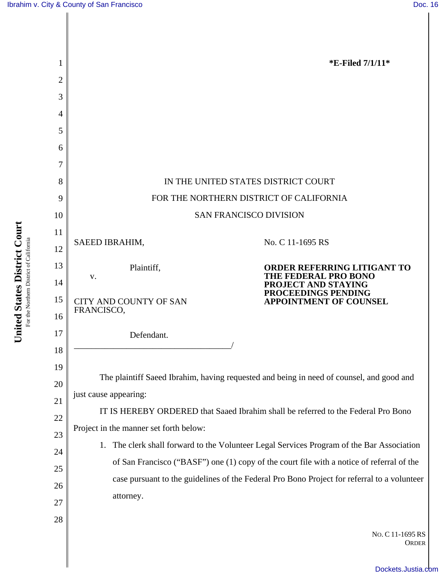

**Court** For the Northern District of California For the Northern District of Californi **States District United**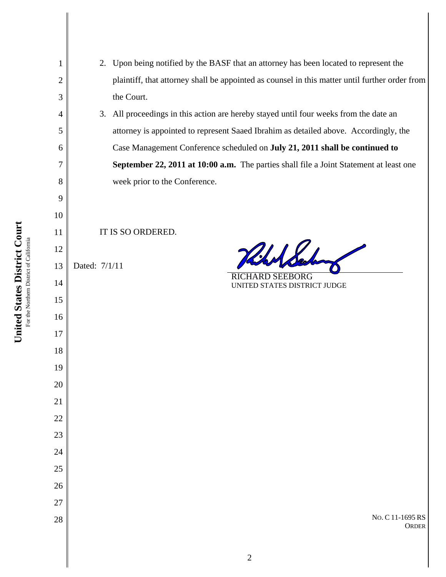| Case Management Conference scheduled on July 21, 2011 shall be continued to<br>September 22, 2011 at 10:00 a.m. The parties shall file a Joint Statement at least one<br>week prior to the Conference.<br>IT IS SO ORDERED.<br>Hills<br>Dated: 7/1/11<br><b>RICHARD SEEBORG</b><br>UNITED STATES DISTRICT JUDGE<br>No. C 11-1695 RS<br><b>ORDER</b><br>$\mathbf{2}$ | attorney is appointed to represent Saaed Ibrahim as detailed above. Accordingly, the |  |  |
|---------------------------------------------------------------------------------------------------------------------------------------------------------------------------------------------------------------------------------------------------------------------------------------------------------------------------------------------------------------------|--------------------------------------------------------------------------------------|--|--|
|                                                                                                                                                                                                                                                                                                                                                                     |                                                                                      |  |  |
|                                                                                                                                                                                                                                                                                                                                                                     |                                                                                      |  |  |
|                                                                                                                                                                                                                                                                                                                                                                     |                                                                                      |  |  |
|                                                                                                                                                                                                                                                                                                                                                                     |                                                                                      |  |  |
|                                                                                                                                                                                                                                                                                                                                                                     |                                                                                      |  |  |
|                                                                                                                                                                                                                                                                                                                                                                     |                                                                                      |  |  |
|                                                                                                                                                                                                                                                                                                                                                                     |                                                                                      |  |  |
|                                                                                                                                                                                                                                                                                                                                                                     |                                                                                      |  |  |
|                                                                                                                                                                                                                                                                                                                                                                     |                                                                                      |  |  |
|                                                                                                                                                                                                                                                                                                                                                                     |                                                                                      |  |  |
|                                                                                                                                                                                                                                                                                                                                                                     |                                                                                      |  |  |
|                                                                                                                                                                                                                                                                                                                                                                     |                                                                                      |  |  |
|                                                                                                                                                                                                                                                                                                                                                                     |                                                                                      |  |  |
|                                                                                                                                                                                                                                                                                                                                                                     |                                                                                      |  |  |
|                                                                                                                                                                                                                                                                                                                                                                     |                                                                                      |  |  |
|                                                                                                                                                                                                                                                                                                                                                                     |                                                                                      |  |  |
|                                                                                                                                                                                                                                                                                                                                                                     |                                                                                      |  |  |
|                                                                                                                                                                                                                                                                                                                                                                     |                                                                                      |  |  |
|                                                                                                                                                                                                                                                                                                                                                                     |                                                                                      |  |  |
|                                                                                                                                                                                                                                                                                                                                                                     |                                                                                      |  |  |
|                                                                                                                                                                                                                                                                                                                                                                     |                                                                                      |  |  |
|                                                                                                                                                                                                                                                                                                                                                                     |                                                                                      |  |  |
|                                                                                                                                                                                                                                                                                                                                                                     |                                                                                      |  |  |
|                                                                                                                                                                                                                                                                                                                                                                     |                                                                                      |  |  |
|                                                                                                                                                                                                                                                                                                                                                                     |                                                                                      |  |  |
|                                                                                                                                                                                                                                                                                                                                                                     |                                                                                      |  |  |
|                                                                                                                                                                                                                                                                                                                                                                     |                                                                                      |  |  |

2. Upon being notified by the BASF that an attorney has been located to represent the plaintiff, that attorney shall be appointed as counsel in this matter until further order from the Court.

3. All proceedings in this action are hereby stayed until four weeks from the date an **September 22, 2011 at 10:00 a.m.** The parties shall file a Joint Statement at least one

  $\overline{D}$